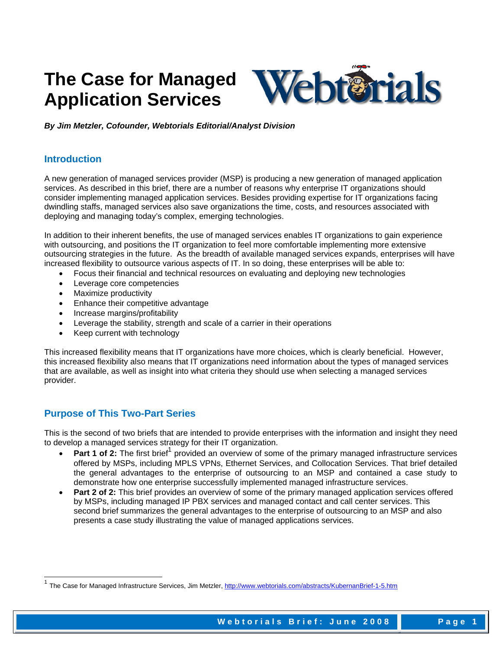# **The Case for Managed Application Services**



*By Jim Metzler, Cofounder, Webtorials Editorial/Analyst Division* 

## **Introduction**

A new generation of managed services provider (MSP) is producing a new generation of managed application services. As described in this brief, there are a number of reasons why enterprise IT organizations should consider implementing managed application services. Besides providing expertise for IT organizations facing dwindling staffs, managed services also save organizations the time, costs, and resources associated with deploying and managing today's complex, emerging technologies.

In addition to their inherent benefits, the use of managed services enables IT organizations to gain experience with outsourcing, and positions the IT organization to feel more comfortable implementing more extensive outsourcing strategies in the future. As the breadth of available managed services expands, enterprises will have increased flexibility to outsource various aspects of IT. In so doing, these enterprises will be able to:

- Focus their financial and technical resources on evaluating and deploying new technologies
- Leverage core competencies
- Maximize productivity
- Enhance their competitive advantage
- Increase margins/profitability
- Leverage the stability, strength and scale of a carrier in their operations
- Keep current with technology

This increased flexibility means that IT organizations have more choices, which is clearly beneficial. However, this increased flexibility also means that IT organizations need information about the types of managed services that are available, as well as insight into what criteria they should use when selecting a managed services provider.

## **Purpose of This Two-Part Series**

-

This is the second of two briefs that are intended to provide enterprises with the information and insight they need to develop a managed services strategy for their IT organization.

- Part 1 of 2: The first brief<sup>1</sup> provided an overview of some of the primary managed infrastructure services offered by MSPs, including MPLS VPNs, Ethernet Services, and Collocation Services. That brief detailed the general advantages to the enterprise of outsourcing to an MSP and contained a case study to demonstrate how one enterprise successfully implemented managed infrastructure services.
- **Part 2 of 2:** This brief provides an overview of some of the primary managed application services offered by MSPs, including managed IP PBX services and managed contact and call center services. This second brief summarizes the general advantages to the enterprise of outsourcing to an MSP and also presents a case study illustrating the value of managed applications services.

The Case for Managed Infrastructure Services, Jim Metzler, http://www.webtorials.com/abstracts/KubernanBrief-1-5.htm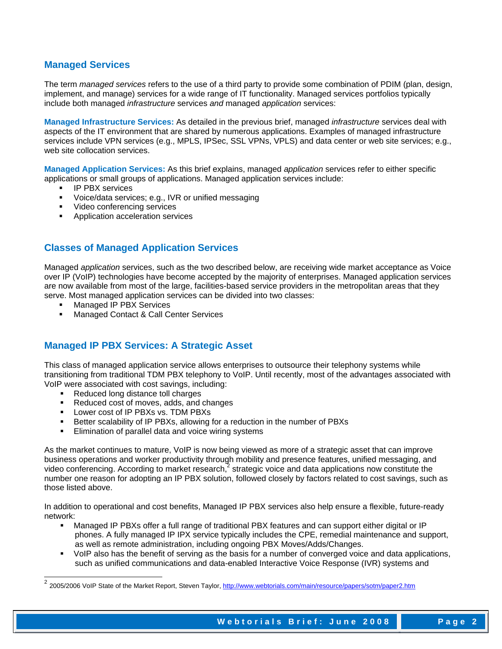## **Managed Services**

The term *managed services* refers to the use of a third party to provide some combination of PDIM (plan, design, implement, and manage) services for a wide range of IT functionality. Managed services portfolios typically include both managed *infrastructure* services *and* managed *application* services:

**Managed Infrastructure Services:** As detailed in the previous brief, managed *infrastructure* services deal with aspects of the IT environment that are shared by numerous applications. Examples of managed infrastructure services include VPN services (e.g., MPLS, IPSec, SSL VPNs, VPLS) and data center or web site services; e.g., web site collocation services.

**Managed Application Services:** As this brief explains, managed *application* services refer to either specific applications or small groups of applications. Managed application services include:

- IP PBX services
- Voice/data services; e.g., IVR or unified messaging
- **Video conferencing services**
- Application acceleration services

## **Classes of Managed Application Services**

Managed *application* services, such as the two described below, are receiving wide market acceptance as Voice over IP (VoIP) technologies have become accepted by the majority of enterprises. Managed application services are now available from most of the large, facilities-based service providers in the metropolitan areas that they serve. Most managed application services can be divided into two classes:

- Managed IP PBX Services
- Managed Contact & Call Center Services

## **Managed IP PBX Services: A Strategic Asset**

This class of managed application service allows enterprises to outsource their telephony systems while transitioning from traditional TDM PBX telephony to VoIP. Until recently, most of the advantages associated with VoIP were associated with cost savings, including:

• Reduced long distance toll charges

-

- Reduced cost of moves, adds, and changes
- **Lower cost of IP PBXs vs. TDM PBXs**
- Better scalability of IP PBXs, allowing for a reduction in the number of PBXs
- Elimination of parallel data and voice wiring systems

As the market continues to mature, VoIP is now being viewed as more of a strategic asset that can improve business operations and worker productivity through mobility and presence features, unified messaging, and video conferencing. According to market research,<sup>2</sup> strategic voice and data applications now constitute the number one reason for adopting an IP PBX solution, followed closely by factors related to cost savings, such as those listed above.

In addition to operational and cost benefits, Managed IP PBX services also help ensure a flexible, future-ready network:

- Managed IP PBXs offer a full range of traditional PBX features and can support either digital or IP phones. A fully managed IP IPX service typically includes the CPE, remedial maintenance and support, as well as remote administration, including ongoing PBX Moves/Adds/Changes.
- UDIP also has the benefit of serving as the basis for a number of converged voice and data applications, such as unified communications and data-enabled Interactive Voice Response (IVR) systems and

<sup>&</sup>lt;sup>2</sup> 2005/2006 VoIP State of the Market Report, Steven Taylor, <u>http://www.webtorials.com/main/resource/papers/sotm/paper2.htm</u>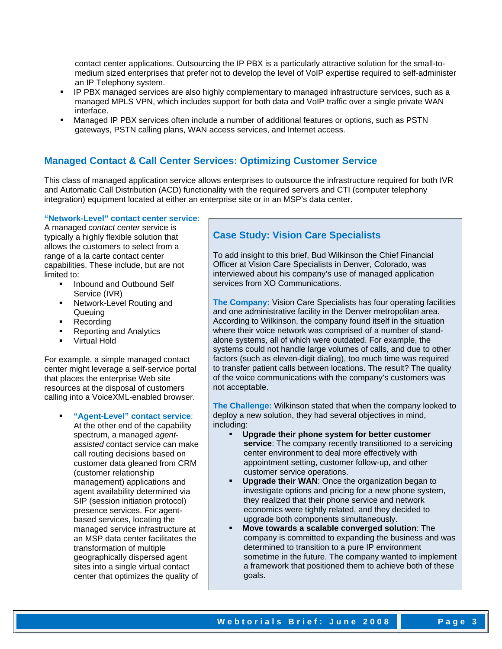contact center applications. Outsourcing the IP PBX is a particularly attractive solution for the small-tomedium sized enterprises that prefer not to develop the level of VoIP expertise required to self-administer an IP Telephony system.

- IP PBX managed services are also highly complementary to managed infrastructure services, such as a managed MPLS VPN, which includes support for both data and VoIP traffic over a single private WAN interface.
- Managed IP PBX services often include a number of additional features or options, such as PSTN gateways, PSTN calling plans, WAN access services, and Internet access.

## **Managed Contact & Call Center Services: Optimizing Customer Service**

This class of managed application service allows enterprises to outsource the infrastructure required for both IVR and Automatic Call Distribution (ACD) functionality with the required servers and CTI (computer telephony integration) equipment located at either an enterprise site or in an MSP's data center.

#### **"Network-Level" contact center service**:

A managed *contact center* service is typically a highly flexible solution that allows the customers to select from a range of a la carte contact center capabilities. These include, but are not limited to:

- Inbound and Outbound Self Service (IVR)
- Network-Level Routing and **Queuing**
- **Recording**
- Reporting and Analytics
- Virtual Hold

For example, a simple managed contact center might leverage a self-service portal that places the enterprise Web site resources at the disposal of customers calling into a VoiceXML-enabled browser.

> **"Agent-Level" contact service**: At the other end of the capability spectrum, a managed *agentassisted* contact service can make call routing decisions based on customer data gleaned from CRM (customer relationship management) applications and agent availability determined via SIP (session initiation protocol) presence services. For agentbased services, locating the managed service infrastructure at an MSP data center facilitates the transformation of multiple geographically dispersed agent sites into a single virtual contact center that optimizes the quality of

# **Case Study: Vision Care Specialists**

To add insight to this brief, Bud Wilkinson the Chief Financial Officer at Vision Care Specialists in Denver, Colorado, was interviewed about his company's use of managed application services from XO Communications.

**The Company:** Vision Care Specialists has four operating facilities and one administrative facility in the Denver metropolitan area. According to Wilkinson, the company found itself in the situation where their voice network was comprised of a number of standalone systems, all of which were outdated. For example, the systems could not handle large volumes of calls, and due to other factors (such as eleven-digit dialing), too much time was required to transfer patient calls between locations. The result? The quality of the voice communications with the company's customers was not acceptable.

**The Challenge:** Wilkinson stated that when the company looked to deploy a new solution, they had several objectives in mind, including:

- **Upgrade their phone system for better customer service**: The company recently transitioned to a servicing center environment to deal more effectively with appointment setting, customer follow-up, and other customer service operations.
- **Upgrade their WAN**: Once the organization began to investigate options and pricing for a new phone system, they realized that their phone service and network economics were tightly related, and they decided to upgrade both components simultaneously.
- **Move towards a scalable converged solution**: The company is committed to expanding the business and was determined to transition to a pure IP environment sometime in the future. The company wanted to implement a framework that positioned them to achieve both of these goals.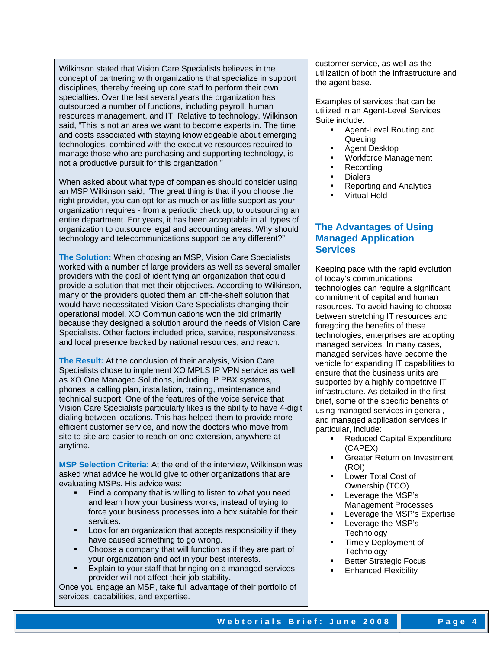Wilkinson stated that Vision Care Specialists believes in the concept of partnering with organizations that specialize in support disciplines, thereby freeing up core staff to perform their own specialties. Over the last several years the organization has outsourced a number of functions, including payroll, human resources management, and IT. Relative to technology, Wilkinson said, "This is not an area we want to become experts in. The time and costs associated with staying knowledgeable about emerging technologies, combined with the executive resources required to manage those who are purchasing and supporting technology, is not a productive pursuit for this organization."

When asked about what type of companies should consider using an MSP Wilkinson said, "The great thing is that if you choose the right provider, you can opt for as much or as little support as your organization requires - from a periodic check up, to outsourcing an entire department. For years, it has been acceptable in all types of organization to outsource legal and accounting areas. Why should technology and telecommunications support be any different?"

**The Solution:** When choosing an MSP, Vision Care Specialists worked with a number of large providers as well as several smaller providers with the goal of identifying an organization that could provide a solution that met their objectives. According to Wilkinson, many of the providers quoted them an off-the-shelf solution that would have necessitated Vision Care Specialists changing their operational model. XO Communications won the bid primarily because they designed a solution around the needs of Vision Care Specialists. Other factors included price, service, responsiveness, and local presence backed by national resources, and reach.

**The Result:** At the conclusion of their analysis, Vision Care Specialists chose to implement XO MPLS IP VPN service as well as XO One Managed Solutions, including IP PBX systems, phones, a calling plan, installation, training, maintenance and technical support. One of the features of the voice service that Vision Care Specialists particularly likes is the ability to have 4-digit dialing between locations. This has helped them to provide more efficient customer service, and now the doctors who move from site to site are easier to reach on one extension, anywhere at anytime.

**MSP Selection Criteria:** At the end of the interview, Wilkinson was asked what advice he would give to other organizations that are evaluating MSPs. His advice was:

- Find a company that is willing to listen to what you need and learn how your business works, instead of trying to force your business processes into a box suitable for their services.
- Look for an organization that accepts responsibility if they have caused something to go wrong.
- Choose a company that will function as if they are part of your organization and act in your best interests.
- Explain to your staff that bringing on a managed services provider will not affect their job stability.

Once you engage an MSP, take full advantage of their portfolio of services, capabilities, and expertise.

customer service, as well as the utilization of both the infrastructure and the agent base.

Examples of services that can be utilized in an Agent-Level Services Suite include:

- Agent-Level Routing and **Queuing**
- Agent Desktop
- Workforce Management
- Recording
- **Dialers**
- Reporting and Analytics
- Virtual Hold

## **The Advantages of Using Managed Application Services**

Keeping pace with the rapid evolution of today's communications technologies can require a significant commitment of capital and human resources. To avoid having to choose between stretching IT resources and foregoing the benefits of these technologies, enterprises are adopting managed services. In many cases, managed services have become the vehicle for expanding IT capabilities to ensure that the business units are supported by a highly competitive IT infrastructure. As detailed in the first brief, some of the specific benefits of using managed services in general, and managed application services in particular, include:

- Reduced Capital Expenditure (CAPEX)
- Greater Return on Investment (ROI)
- Lower Total Cost of Ownership (TCO)
- Leverage the MSP's Management Processes
- Leverage the MSP's Expertise
- Leverage the MSP's **Technology**
- Timely Deployment of **Technology**
- Better Strategic Focus
- Enhanced Flexibility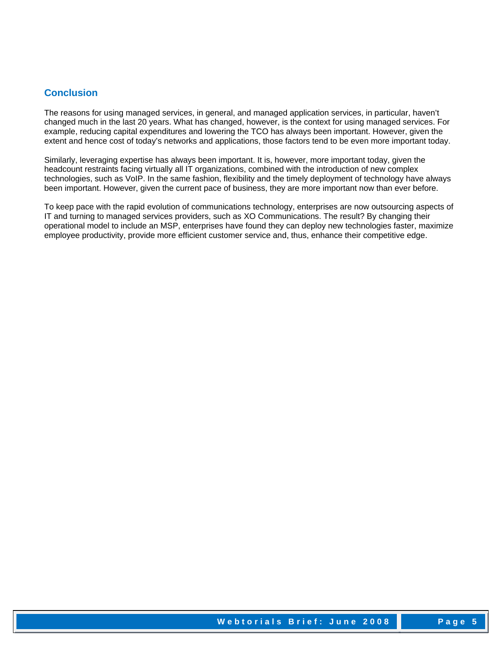## **Conclusion**

The reasons for using managed services, in general, and managed application services, in particular, haven't changed much in the last 20 years. What has changed, however, is the context for using managed services. For example, reducing capital expenditures and lowering the TCO has always been important. However, given the extent and hence cost of today's networks and applications, those factors tend to be even more important today.

Similarly, leveraging expertise has always been important. It is, however, more important today, given the headcount restraints facing virtually all IT organizations, combined with the introduction of new complex technologies, such as VoIP. In the same fashion, flexibility and the timely deployment of technology have always been important. However, given the current pace of business, they are more important now than ever before.

To keep pace with the rapid evolution of communications technology, enterprises are now outsourcing aspects of IT and turning to managed services providers, such as XO Communications. The result? By changing their operational model to include an MSP, enterprises have found they can deploy new technologies faster, maximize employee productivity, provide more efficient customer service and, thus, enhance their competitive edge.